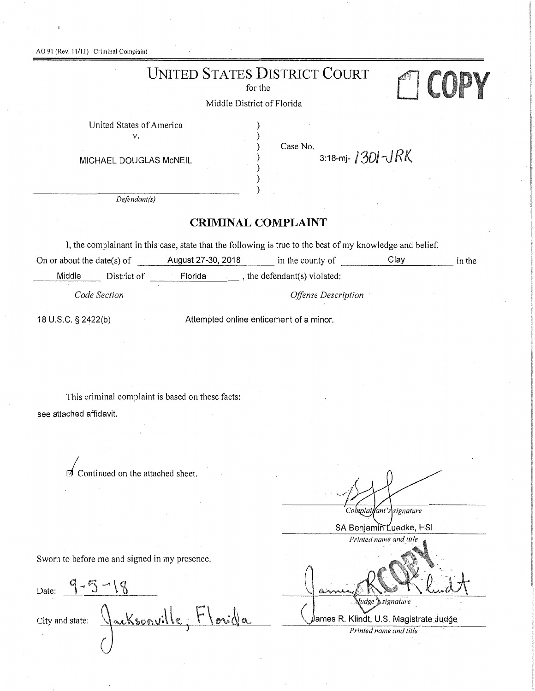AO 91 (Rev. 11/11) Criminal Complaint

# **UNITED STATES DISTRICT COURT**

for the

Middle District of Florida

) ) ) ) ) ) )

United States of America v.

MICHAEL DOUGLAS McNEIL

Case No.

3:18-mj- 1301-JRK

COPY

*Defendant(s)* 

## **CRIMINAL COMPLAINT**

I, the complainant in this case, state that the following is true to the best of my knowledge and belief.

On or about the date(s) of August 27-30, 2018 in the county of Clay Middle District of Florida , the defendant(s) violated: in the

*Code Section Offense Description* 

18 U.S.C. § 2422(b) Attempted online enticement of a minor.

This criminal complaint is based on these facts: see attached affidavit.

 $\Box$  Continued on the attached sheet.

Complainant's signature

SA Benjamin Luedke, HSI Printed name and title

signature

Sworn to before me and signed in my presence.

Date:  $9 - 5 - 18$ City and state: <u>Cacksonville</u>, Flowide Games R. Klindt, U.S. Magistrate Judge *(*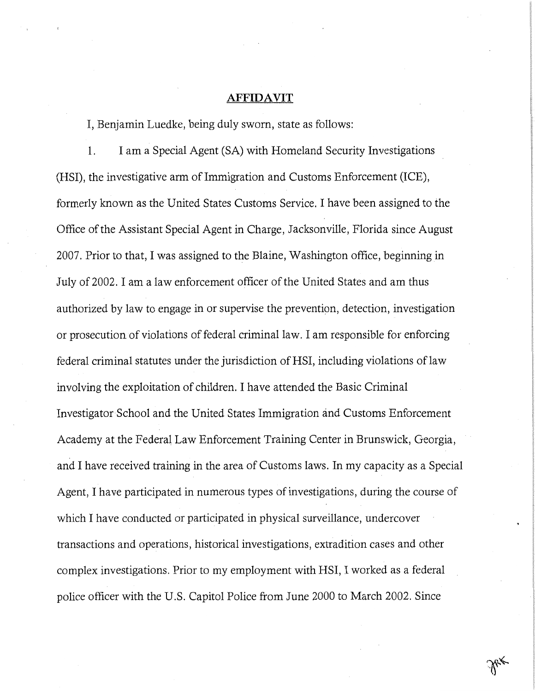#### **AFFIDAVIT**

I, Benjamin Luedke, being duly sworn, state as follows:

1. I am a Special Agent (SA) with Homeland Security Investigations (HSI), the investigative arm of Immigration and Customs Enforcement (ICE), formerly known as the United States Customs Service. I have been assigned to the Office of the Assistant Special Agent in Charge, Jacksonville, Florida since August 2007. Prior to that, I was assigned to the Blaine, Washington office, beginning in July of 2002. I am a law enforcement officer of the United States and am thus authorized by law to engage in or supervise the prevention, detection, investigation or prosecution of violations of federal criminal law. I am responsible for enforcing federal criminal statutes under the jurisdiction of HSI, including violations of law involving the exploitation of children. I have attended the Basic Criminal Investigator School and the United States Immigration and Customs Enforcement Academy at the Federal Law Enforcement Training Center in Brunswick, Georgia, and I have received training in the area of Customs laws. In my capacity as a Special Agent, I have participated in numerous types of investigations, during the course of which I have conducted or participated in physical surveillance, undercover transactions and operations, historical investigations, extradition cases and other complex investigations. Prior to my employment with HSI, I worked as a federal police officer with the U.S. Capitol Police from June 2000 to March 2002. Since

Nez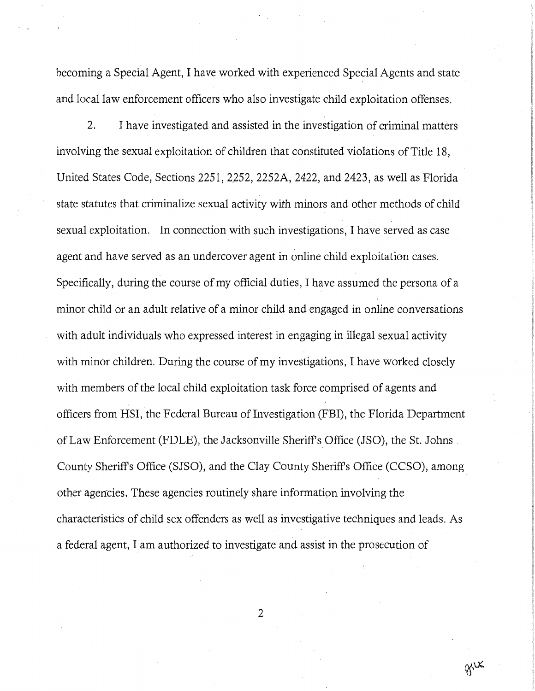becoming a Special Agent, I have worked with experienced Special Agents and state and local law enforcement officers who also investigate child exploitation offenses.

2. I have investigated and assisted in the investigation of criminal matters involving the sexual exploitation of children that constituted violations of Title 18, United States Code, Sections 2251, 2.252, 2252A, 2422, and 2423, as well as Florida state statutes that criminalize sexual activity with minors and other methods of child sexual exploitation. In connection with such investigations, I have served as case agent and have served as an undercover agent in online child exploitation cases. Specifically, during the course of my official duties, I have assumed the persona of a minor child or an adult relative of a minor child and engaged in online conversations with adult individuals who expressed interest in engaging in illegal sexual activity with minor children. During the course of my investigations, I have worked closely with members of the local child exploitation task force comprised of agents and officers from HSI, the Federal Bureau of Investigation (FBI), the Florida Department of Law Enforcement (FDLE), the Jacksonville Sheriffs Office (JSO), the St. Johns . County Sheriffs Office (SJSO), and the Clay County Sheriff's Office (CCSO), among other agencies. These agencies routinely share information involving the characteristics of child sex offenders as well as investigative techniques and leads. As a federal agent, I am authorized to investigate and assist in the prosecution of

2

grex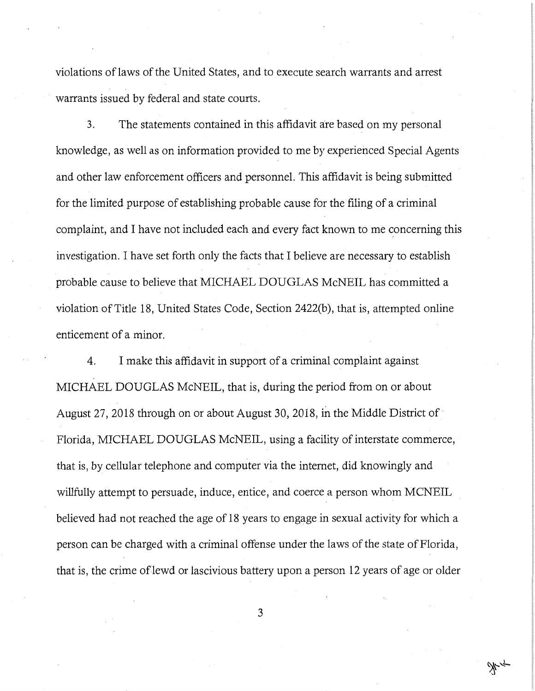violations oflaws of the United States, and to execute search warrants and arrest warrants issued by federal and state courts.

3. The statements contained in this affidavit are based on my personal knowledge, as well as on information provided to me by experienced Special Agents and other law enforcement officers and personnel. This affidavit is being submitted for the limited purpose of establishing probable cause for the filing of a criminal complaint, and I have not included each and every fact known to me concerning this investigation. I have set forth only the facts that I believe are necessary to establish probable cause to believe that MICHAEL DOUGLAS McNEIL has committed a violation of Title 18, United States Code, Section 2422(b), that is, attempted online enticement of a minor.

4. I make this affidavit in support of a criminal complaint against MICHAEL DOUGLAS McNEIL, that is, during the period from on or about August 27, 2018 through on or about August 30, 2018, in the Middle District of· Florida, MICHAEL DOUGLAS McNEIL, using a facility of interstate commerce, that is, by cellular telephone and computer via the internet, did knowingly and willfully attempt to persuade, induce, entice, and coerce a person whom MCNEIL believed had not reached the age of 18 years to engage in sexual activity for which a person can be charged with a criminal offense under the laws of the state of Florida, that is, the crime oflewd or lascivious battery upon a person 12 years of age or older

3

Ж≁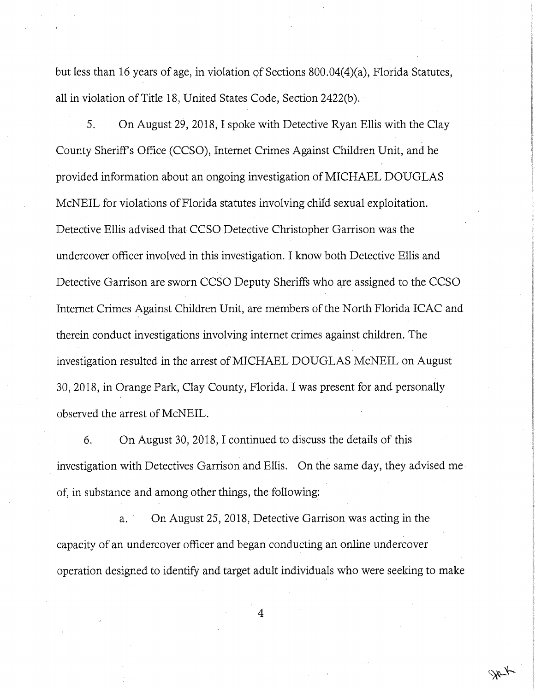but less than 16 years of age, in violation of Sections 800.04(4)(a), Florida Statutes, all in violation of Title 18, United States Code, Section 2422(b).

5. On August 29, 2018, I spoke with Detective Ryan Ellis with the Clay County Sheriffs Office (CCSO), Internet Crimes Against Children Unit, and he provided information about an ongoing investigation of MICHAEL DOUGLAS McNEIL for violations of Florida statutes involving child sexual exploitation. Detective Ellis advised that CCSO Detective Christopher Garrison was the undercover officer involved in this investigation. I know both Detective Ellis and Detective Garrison are sworn CCSO Deputy Sheriffs who are assigned to the CCSO Internet Crimes Against Children Unit, are members of the North Florida ICAC and therein conduct investigations involving internet crimes against children. The investigation resulted in the arrest of MICHAEL DOUGLAS McNEIL on August 30, 2018, in Orange Park, Clay County, Florida. I was present for and personally observed the arrest of McNEIL.

6. On August 30, 2018, I continued to discuss the details of this investigation with Detectives Garrison and Ellis. On the same day, they advised me of, in substance and among other things, the following:

a. On August 25, 2018, Detective Garrison was acting in the capacity of an undercover officer and began conducting an online undercover operation designed to identify and target adult individuals who were seeking to make

4

Spek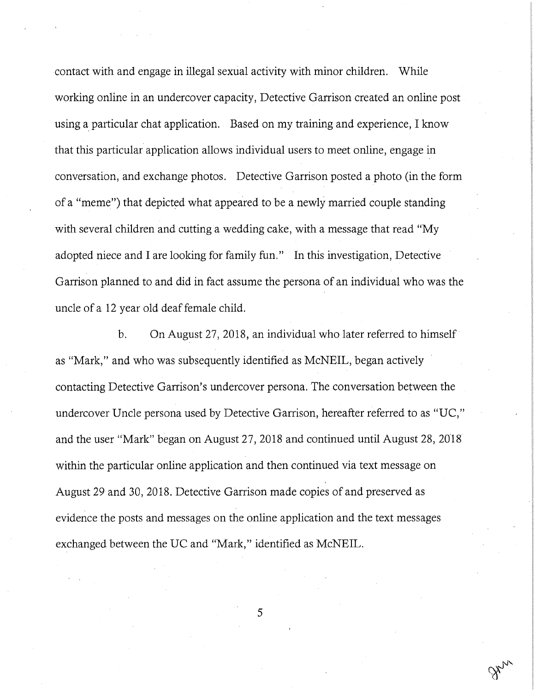contact with and engage in illegal sexual activity with minor children. While working online in an undercover capacity, Detective Garrison created an online post using a particular chat application. Based on my training and experience, I know that this particular application allows individual users to meet online, engage in conversation, and exchange photos. Detective Garrison posted a photo (in the form of a "meme") that depicted what appeared to be a newly married couple standing with several children and cutting a wedding cake, with a message that read "My adopted niece and I are looking for family fun." In this investigation, Detective Garrison planned to and did in fact assume the persona of an individual who was the uncle of a 12 year old deaf female child.

b. On August 27, 2018, an individual who later referred to himself as "Mark," and who was subsequently identified as McNEIL, began actively contacting Detective Garrison's undercover persona. The conversation between the undercover Uncle persona used by Detective Garrison, hereafter referred to as "UC," and the user "Mark" began on August 27, 2018 and continued until August 28, 2018 within the particular online application and then continued via text message on August 29 and 30, 2018. Detective Garrison made copies of and preserved as evidence the posts and messages on the online application and the text messages exchanged between the UC and "Mark," identified as McNEIL.

5

gry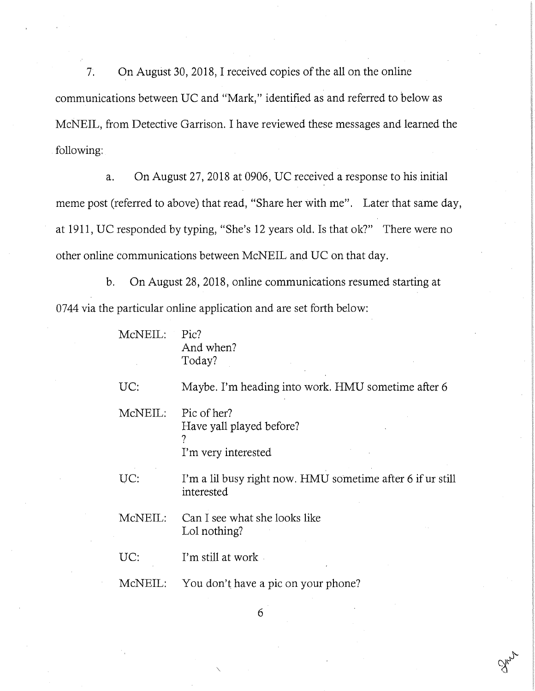7. On August 30, 2018, I received copies of the all on the online communications between UC and "Mark," identified as and referred to below as McNEIL, from Detective Garrison. I have reviewed these messages and learned the following:

a. On August 27, 2018 at 0906, UC received a response to his initial meme post (referred to above) that read, "Share her with me". Later that same day, at 1911, UC responded by typing, "She's 12 years old. Is that ok?" There were no other online communications between McNEIL and UC on that day.

b. On August 28, 2018, online communications resumed starting at 0744 via the particular online application and are set forth below:

| McNEIL: Pic? |           |
|--------------|-----------|
|              | And when? |
|              | Today?    |

UC: Maybe. I'm heading into work. HMU sometime after 6

McNEIL: Pie of her? Have yall played before? ? I'm very interested

UC: I'm a lil busy right now. HMU sometime after 6 if ur still interested

McNEIL: Can I see what she looks like Lol nothing?

UC: I'm still at work

McNEIL: You don't have a pic on your phone?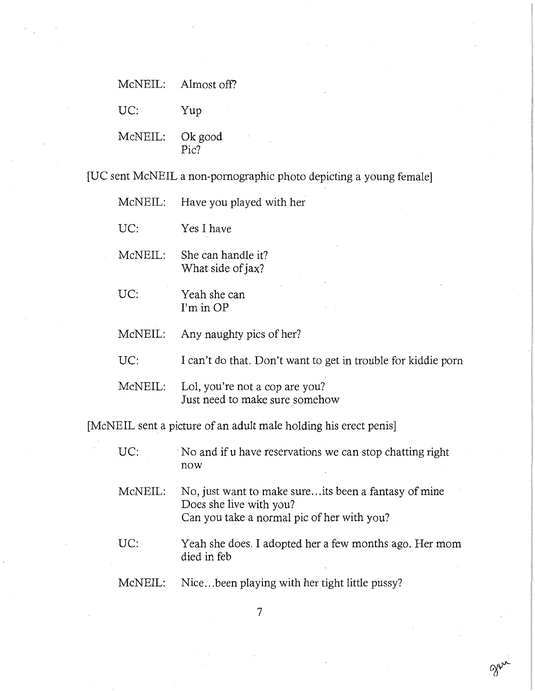McNEIL: Almost off?

UC: Yup

McNEIL: Ok good Pie?

[UC sent McNEIL a non-pornographic photo depicting a young female]

| McNEIL: | Have you played with her                                      |
|---------|---------------------------------------------------------------|
| UC:     | Yes I have                                                    |
| McNEIL: | She can handle it?<br>What side of jax?                       |
| UC:     | Yeah she can<br>I'm in OP                                     |
| McNEIL: | Any naughty pics of her?                                      |
| UC:     | I can't do that. Don't want to get in trouble for kiddie porn |

McNEIL: Lol, you're not a cop are you? Just need to make sure somehow

[McNEIL sent a picture of an adult male holding his erect penis]

| UC:     | No and if u have reservations we can stop chatting right<br>now                                                                |
|---------|--------------------------------------------------------------------------------------------------------------------------------|
| McNEIL: | No, just want to make sure its been a fantasy of mine<br>Does she live with you?<br>Can you take a normal pic of her with you? |
| UC:     | Yeah she does. I adopted her a few months ago. Her mom<br>died in feb                                                          |
| McNEIL: | Nicebeen playing with her tight little pussy?                                                                                  |

 $20$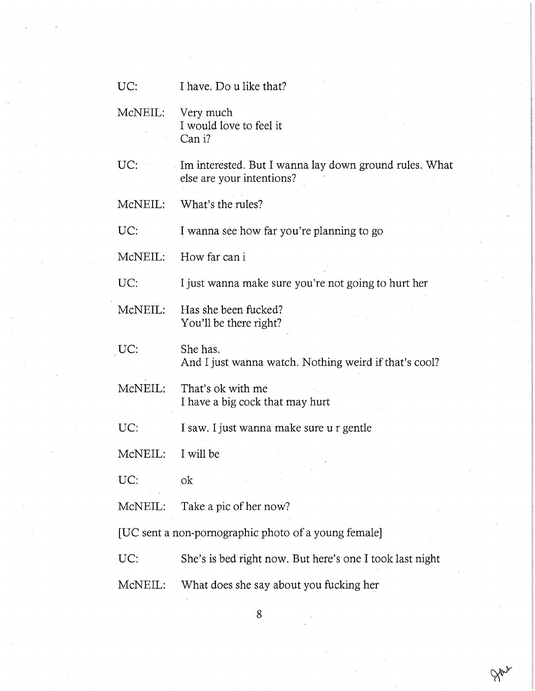## UC: I have. Do u like that?

- McNEIL: Very much I would love to feel it Can i?
- UC: Im interested. But I wanna lay down ground rules. What else are your intentions?

McNEIL: What's the rules?

UC: I wanna see how far you're planning to go

McNEIL: How far can i

UC: I just wanna make sure you're not going to hurt her

McNEIL: Has she been fucked? You'll be there right?

UC: She has. And I just wanna watch. Nothing weird if that's cool?

McNEIL: That's ok with me I have a big cock that may hurt

UC: I saw. I just wanna make sure u r gentle

McNEIL: I will be

UC: ok

McNEIL: Take a pie of her now?

[UC sent a non-pornographic photo of a young female]

UC: She's is bed right now. But here's one I took last night

Xr.

McNEIL: What does she say about you fucking her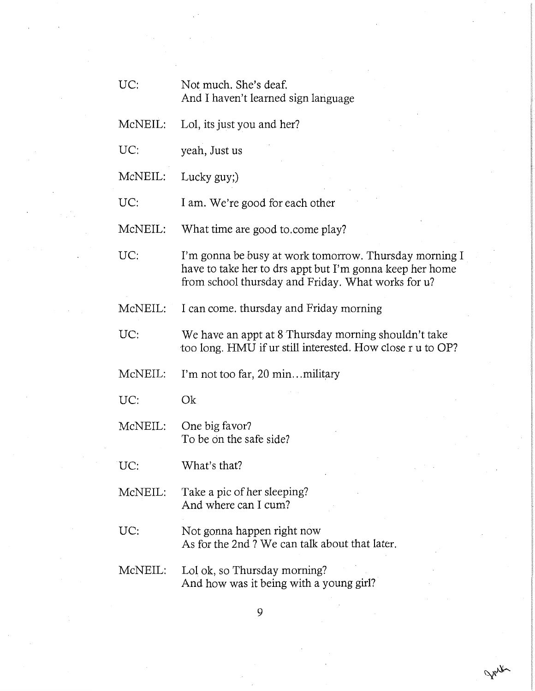UC: Not much. She's deaf. And I haven't learned sign language

McNEIL: Lol, its just you and her?

UC: yeah, Just us

McNEIL: Lucky guy;)

UC: I am. We're good for each other

McNEIL: What time are good to.come play?

UC: I'm gonna be busy at work tomorrow. Thursday morning I have to take her to drs appt but I'm gonna keep her home from school thursday and Friday. What works for u?

McNEIL: I can come. thursday and Friday morning

UC: We have an appt at 8 Thursday morning shouldn't take too long. HMU if ur still interested. How close r u to OP?

McNEIL: I'm not too far, 20 min...military

UC: Ok

McNEIL: One big favor? To be on the safe side?

UC: What's that?

McNEIL: Take a pie of her sleeping? And where can I cum?

- UC: Not gonna happen right now As for the 2nd? We can talk about that later.
- McNEIL: Lol ok, so Thursday morning? And how was it being with a young girl?

9

gare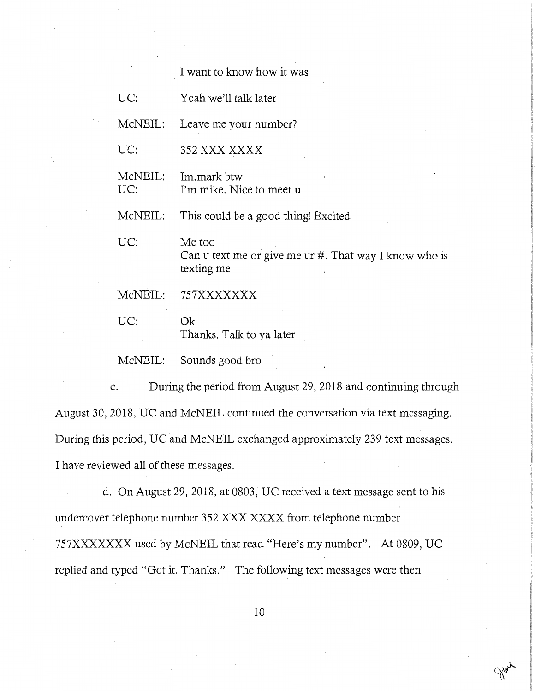## I want to know how it was

McNEIL: Leave me your number?

UC: 352 XXX XXXX

McNEIL: Im.mark btw UC: I'm mike. Nice to meet u

McNEIL: This could be a good thing! Excited

UC: Me too Can u text me or give me ur  $#$ . That way I know who is texting me

McNEIL: 757XXXXXXX

UC: Ok Thanks. Talk to ya later

McNEIL: Sounds good bro

c. During the period from August 29, 2018 and continuing through August 30, 2018, UC and McNEIL continued the conversation via text messaging. During this period, UC and McNEIL exchanged approximately 239 text messages. I have reviewed all of these messages.

d. On August 29, 2018, at 0803, UC received a text message sent to his undercover telephone number 352 XXX XXXX from telephone number 757XXXXXXX used by McNEIL that read "Here's my number". At 0809, UC replied and typed "Got it. Thanks." The following text messages were then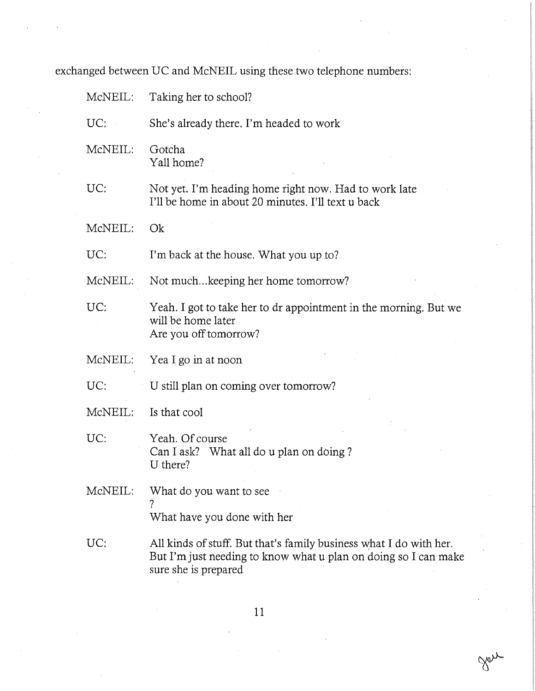exchanged between UC and McNEIL using these two telephone numbers:

UC: She's already there. I'm headed to work

McNEIL: Gotcha Yall home?

UC: Not yet. I'm heading home right now. Had to work late I'll be home in about 20 minutes. I'll text u back

McNEIL: Ok

UC: I'm back at the house. What you up to?

McNEIL: Not much... keeping her home tomorrow?

UC: Yeah. I got to take her to dr appointment in the morning. But we will be home later Are you off tomorrow?

McNEIL: Yea I go in at noon

UC: U still plan on coming over tomorrow?

McNEIL: Is that cool

UC: Yeah. Of course Can I ask? What all do u plan on doing ? U there?

McNEIL: What do you want to see

? What have you done with her

 $UC:$  All kinds of stuff. But that's family business what I do with her. But I'm just needing to know what u plan on doing so I can make sure she is prepared

Slove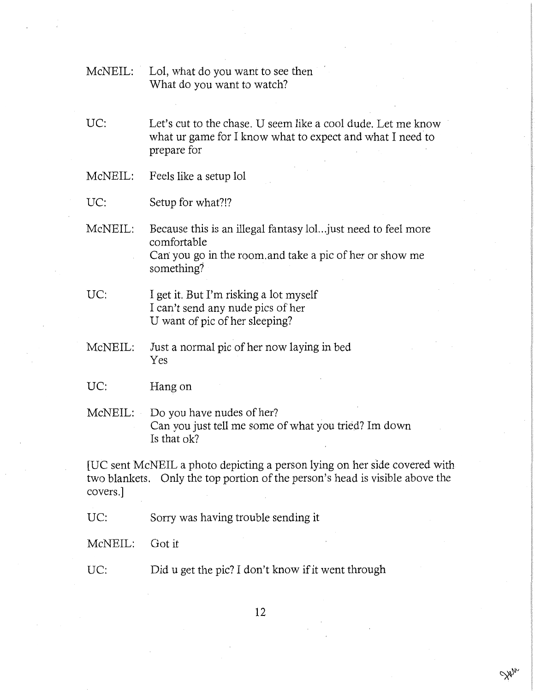McNEIL: Lol, what do you want to see then What do you want to watch?

UC: Let's cut to the chase. U seem like a cool dude. Let me know what ur game for I know what to expect and what I need to prepare for

McNEIL: Feels like a setup lol

UC: Setup for what?!?

McNEIL: Because this is an illegal fantasy lol... just need to feel more comfortable Cari you go in the room.and take a pie of her or show me something?

UC: I get it. But I'm risking a lot myself I can't send any nude pies of her U want of pie of her sleeping?

McNEIL: Just a normal pie of her now laying in bed Yes

UC: Hang on

McNEIL: Do you have nudes of her? Can you just tell me some of what you tried? Im down Is that ok?

[UC sent McNEIL a photo depicting a person lying on her side covered with two blankets. Only the top portion of the person's head is visible above the covers.]

UC: Sorry was having trouble sending it

McNEIL: Got it

UC: Did u get the pic? I don't know if it went through

12

 $\partial\mathscr{H}_n$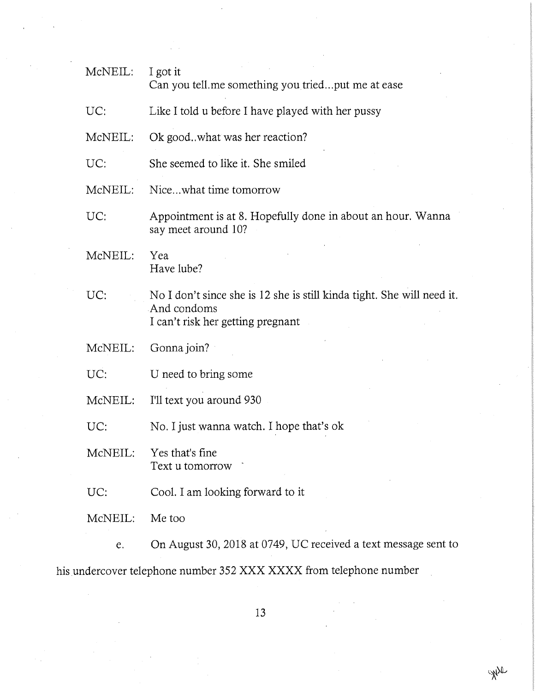| McNEIL: | I got it<br>Can you tell me something you triedput me at ease                                                              |
|---------|----------------------------------------------------------------------------------------------------------------------------|
| UC:     | Like I told u before I have played with her pussy                                                                          |
| McNEIL: | Ok good. what was her reaction?                                                                                            |
| UC:     | She seemed to like it. She smiled                                                                                          |
| McNEIL: | Nicewhat time tomorrow                                                                                                     |
| UC:     | Appointment is at 8. Hopefully done in about an hour. Wanna<br>say meet around 10?                                         |
| McNEIL: | Yea<br>Have lube?                                                                                                          |
| UC:     | No I don't since she is 12 she is still kinda tight. She will need it.<br>And condoms<br>I can't risk her getting pregnant |
| McNEIL: | Gonna join?                                                                                                                |
| UC:     | U need to bring some                                                                                                       |
| McNEIL: | I'll text you around 930                                                                                                   |
| UC:     | No. I just wanna watch. I hope that's ok                                                                                   |
| McNEIL: | Yes that's fine<br>Text u tomorrow                                                                                         |
| UC:     | Cool. I am looking forward to it                                                                                           |
| McNEIL: | Me too                                                                                                                     |
| e.      | On August 30, 2018 at 0749, UC received a text message sent to                                                             |

his undercover telephone number 352 XXX XXXX from telephone number

13

you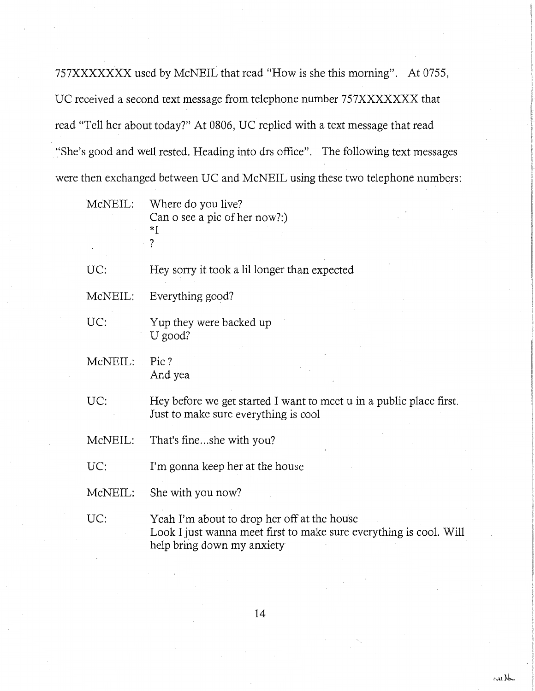757XXXXXXX used by McNEIL that read "How is she this morning". At 0755, UC received a second text message from telephone number 757XXXXXXX that read "Tell her about today?" At 0806, UC replied with a text message that read "She's good and well rested. Heading into drs office". The following text messages were then exchanged between UC and McNEIL using these two telephone numbers:

McNEIL: Where do you live? Cano see a pie of her now?:) \*I ?

UC: Hey sorry it took a lil longer than expected

McNEIL: Everything good?

- UC: Yup they were backed up U good?
- McNEIL: Pie? And yea
- UC: Hey before we get started I want to meet u in a public place first. Just to make sure everything is cool
- McNEIL: That's fine...she with you?

UC: I'm gonna keep her at the house

McNEIL: She with you now?

UC: Yeah I'm about to drop her off at the house Look I just wanna meet first to make sure everything is cool. Will help bring down my anxiety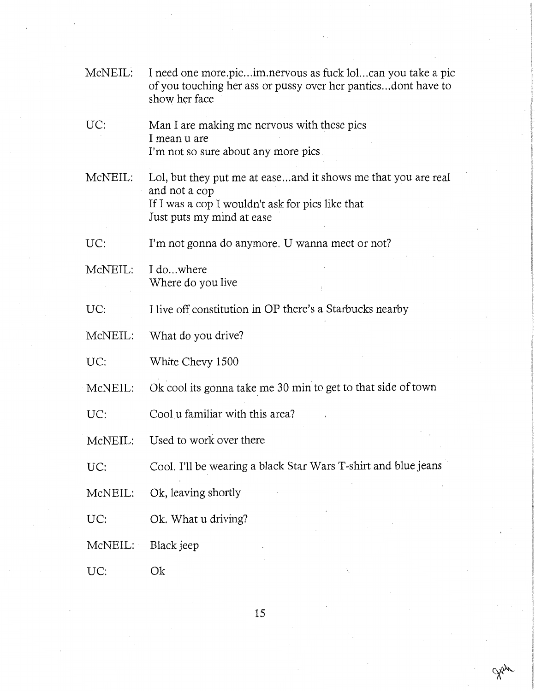- McNEIL: I need one more.pic...im.nervous as fuck lol...can you take a pic of you touching her ass or pussy over her panties ... dont have to show her face
- UC: Man I are making me nervous with these pics I mean u are I'm not so sure about any more pics
- McNEIL: Lol, but they put me at ease ... and it shows me that you are real and not a cop If I was a cop I wouldn't ask for pics like that Just puts my mind at ease

UC: I'm not gonna do anymore. U wanna meet or not?

- McNEIL: I do...where Where do you live
- UC: I live off constitution in OP there's a Starbucks nearby
- McNEIL: What do you drive?
- UC: White Chevy 1500
- McNEIL: Ok cool its gonna take me 30 min to get to that side of town
- UC: Cool u familiar with this area?
- McNEIL: Used to work over there
- UC: Cool. I'll be wearing a black Star Wars T-shirt and blue jeans
- McNEIL: Ok, leaving shortly
- $UC:$  Ok. What u driving?
- McNEIL: Black jeep
- UC: Ok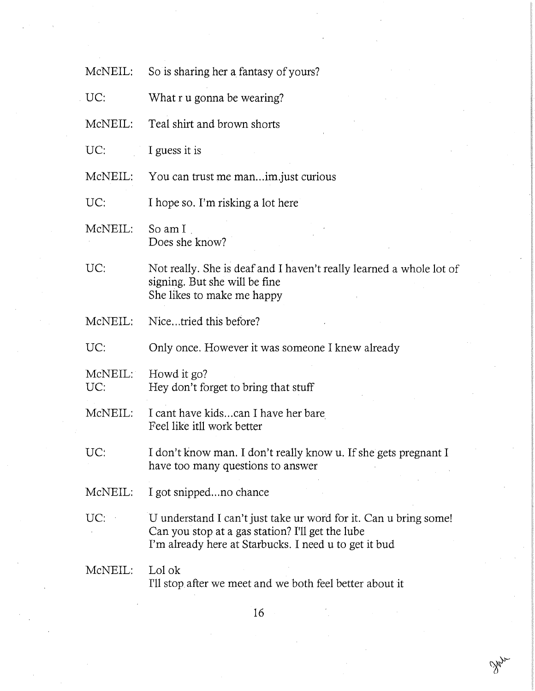McNEIL: So is sharing her a fantasy of yours?

UC: What r u gonna be wearing?

McNEIL: Teal shirt and brown shorts

UC: I guess it is

McNEIL: You can trust me man...im.just curious

UC: I hope so. I'm risking a lot here

McNEIL: So am I Does she know?

UC: Not really. She is deaf and I haven't really learned a whole lot of signing. But she will be fine She likes to make me happy

McNEIL: Nice...tried this before?

UC: Only once. However it was someone I knew already

McNEIL: UC: Howd it go? Hey don't forget to bring that stuff

McNEIL: I cant have kids ... can I have her bare. Feel like itll work better

UC: I don't know man. I don't really know u. If she gets pregnant I have too many questions to answer

McNEIL: I got snipped...no chance

UC: U understand I can't just take ur word for it. Can u bring some! Can you stop at a gas station? I'll get the lube I'm already here at Starbucks. I need u to get it bud

McNEIL: Lolok

I'll stop after we meet and we both feel better about it

Myr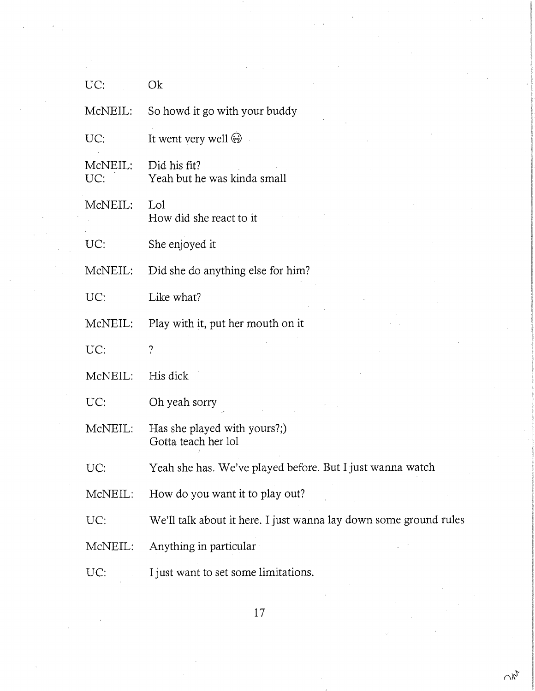| UC:            | Ok                                                                |
|----------------|-------------------------------------------------------------------|
| McNEIL:        | So howd it go with your buddy                                     |
| UC:            | It went very well $\odot$                                         |
| McNEIL:<br>UC: | Did his fit?<br>Yeah but he was kinda small                       |
| McNEIL:        | Lol<br>How did she react to it                                    |
| UC:            | She enjoyed it                                                    |
| McNEIL:        | Did she do anything else for him?                                 |
| UC:            | Like what?                                                        |
| McNEIL:        | Play with it, put her mouth on it                                 |
| UC:            | ?                                                                 |
| McNEIL:        | His dick                                                          |
| UC:            | Oh yeah sorry                                                     |
| McNEIL:        | Has she played with yours?;)<br>Gotta teach her lol               |
| UC:            | Yeah she has. We've played before. But I just wanna watch         |
| McNEIL:        | How do you want it to play out?                                   |
| UC:            | We'll talk about it here. I just wanna lay down some ground rules |
| McNEIL:        | Anything in particular                                            |
| UC:            | I just want to set some limitations.                              |
|                |                                                                   |

17

 $\cup_{\mathcal{V}_{2}}$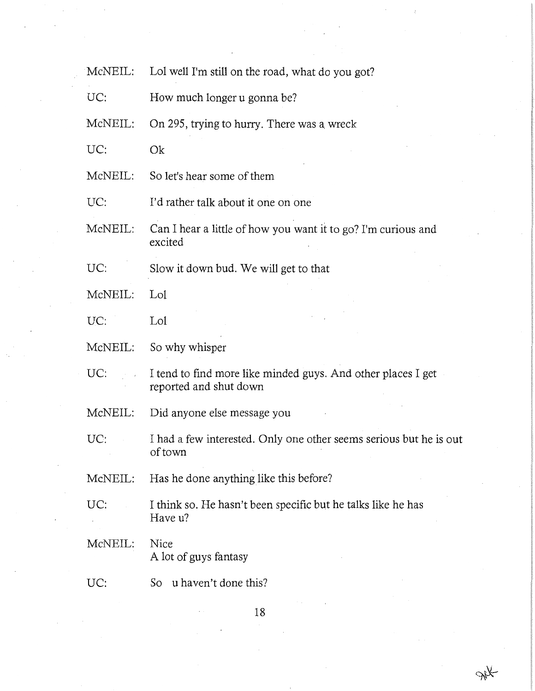| McNEIL: | On 295, trying to hurry. There was a wreck                                             |  |
|---------|----------------------------------------------------------------------------------------|--|
| UC:     | Ok                                                                                     |  |
| McNEIL: | So let's hear some of them                                                             |  |
| UC:     | I'd rather talk about it one on one                                                    |  |
| McNEIL: | Can I hear a little of how you want it to go? I'm curious and<br>excited               |  |
| UC:     | Slow it down bud. We will get to that                                                  |  |
| McNEIL: | Lol                                                                                    |  |
| UC:     | Lol                                                                                    |  |
| McNEIL: | So why whisper                                                                         |  |
| UC:     | I tend to find more like minded guys. And other places I get<br>reported and shut down |  |
| McNEIL: | Did anyone else message you                                                            |  |
| UC:     | I had a few interested. Only one other seems serious but he is out<br>of town          |  |
| McNEIL: | Has he done anything like this before?                                                 |  |
| UC:     | I think so. He hasn't been specific but he talks like he has<br>Have u?                |  |
| McNEIL: | Nice<br>A lot of guys fantasy                                                          |  |
| UC:     | So u haven't done this?                                                                |  |
|         | 18                                                                                     |  |
|         |                                                                                        |  |

got

McNEIL: Lol well I'm still on the road, what do you got?

UC: How much longer u gonna be?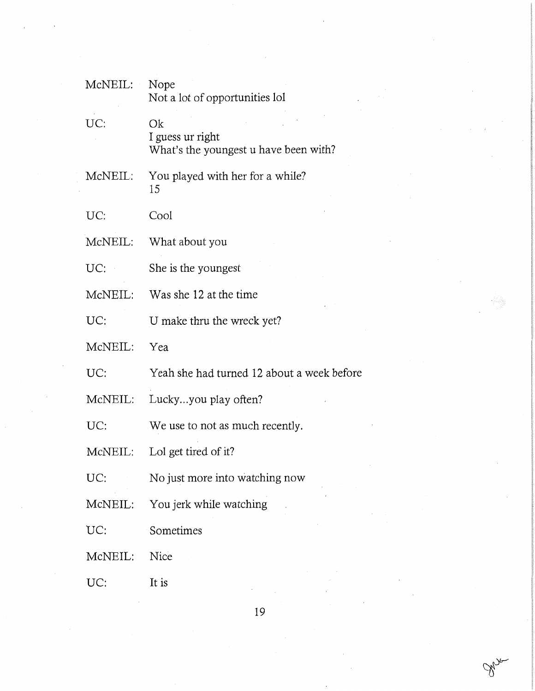| McNEIL: Nope |                                |
|--------------|--------------------------------|
|              | Not a lot of opportunities lol |

- UC: Ok I guess ur right What's the youngest u have been with?
- McNEIL: You played with her for a while? 15

UC: Cool

McNEIL: What about you

UC: She is the youngest

McNEIL: Was she 12 at the time

UC: U make thru the wreck yet?

McNEIL: Yea

UC: Yeah she had turned 12 about a week before

McNEIL: Lucky...you play often?

UC: We use to not as much recently.

McNEIL: Lol get tired of it?

UC: No just more into watching now

McNEIL: You jerk while watching

UC: Sometimes

McNEIL: Nice

UC: It is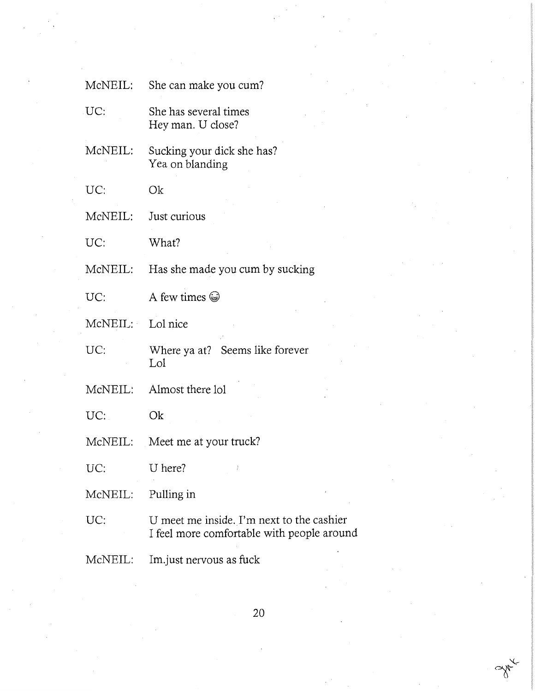- McNEIL: She can make you cum?
- UC: She has several times Hey man. U close?
- McNEIL: Sucking your dick she has? Yea on blanding

UC: Ok

McNEIL: Just curious

UC: What?

McNEIL: Has she made you cum by sucking

 $UC:$  A few times  $\bigcirc$ 

McNEIL: Lol nice

UC: Where ya at? Seems like forever Lol

McNEIL: Almost there lol

- UC: Ok
- McNEIL: Meet me at your truck?

UC: U here?

McNEIL: Pulling in

UC: U meet me inside. I'm next to the cashier I feel more comfortable with people around

McNEIL: Im.just nervous as fuck

20

 $\propto$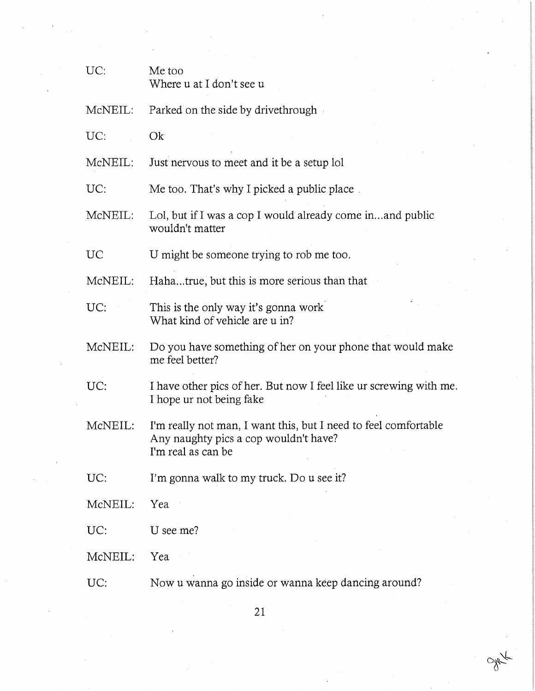UC: Me too Where u at I don't see u

McNEIL: Parked on the side by drivethrough

UC: Ok

McNEIL: Just nervous to meet and it be a setup lol

UC: Me too. That's why I picked a public place.

McNEIL: Lol, but if I was a cop I would already come in...and public wouldn't matter

UC U might be someone trying to rob me too.

McNEIL: Haha...true, but this is more serious than that

UC: This is the only way it's gonna work What kind of vehicle are u in?

McNEIL: Do you have something of her on your phone that would make me feel better?

UC: I have other pics of her. But now I feel like ur screwing with me. I hope ur not being fake

McNEIL: I'm really not man, I want this, but I need to feel comfortable Any naughty pics a cop wouldn't have? I'm real as can be

UC: I'm gonna walk to my truck. Do u see it?

McNEIL: Yea

UC: U see me?

McNEIL: Yea

UC: Now u wanna go inside or wanna keep dancing around?

21

John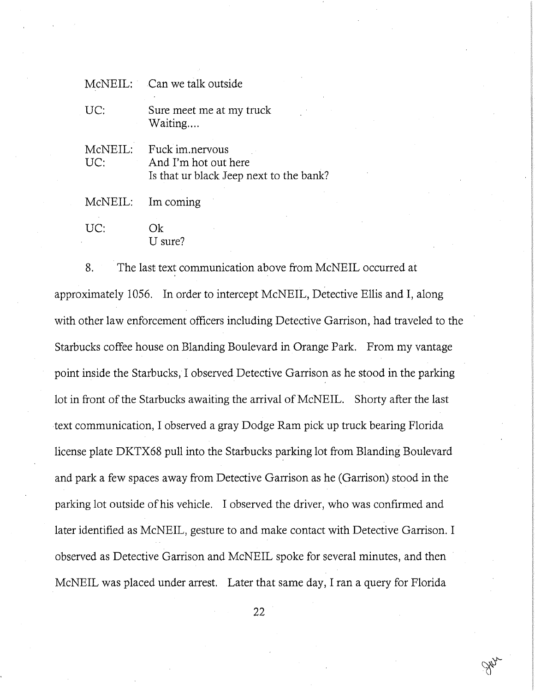|                | McNEIL: Can we talk outside                                                        |
|----------------|------------------------------------------------------------------------------------|
| UC:            | Sure meet me at my truck<br>Waiting                                                |
| McNEIL:<br>UC: | Fuck im.nervous<br>And I'm hot out here<br>Is that ur black Jeep next to the bank? |
| McNEIL:        | Im coming                                                                          |
| UC:            | Ok<br>sure?                                                                        |

8. The last text communication above from McNEIL occurred at approximately 1056. In order to intercept McNEIL, Detective Ellis and I, along with other law enforcement officers including Detective Garrison, had traveled to the Starbucks coffee house on Blanding Boulevard in Orange Park. From my vantage point inside the Starbucks, I observed Detective Garrison as he stood in the parking lot in front of the Starbucks awaiting the arrival of McNEIL. Shorty after the last text communication, I observed a gray Dodge Ram pick up truck bearing Florida license plate DKTX68 pull into the Starbucks parking lot from Blanding Boulevard and park a few spaces away from Detective Garrison as he (Garrison) stood in the parking lot outside of his vehicle. I observed the driver, who was confirmed and later identified as McNEIL, gesture to and make contact with Detective Garrison. I observed as Detective Garrison and McNEIL spoke for several minutes, and then McNEIL was placed under arrest. Later that same day, I ran a query for Florida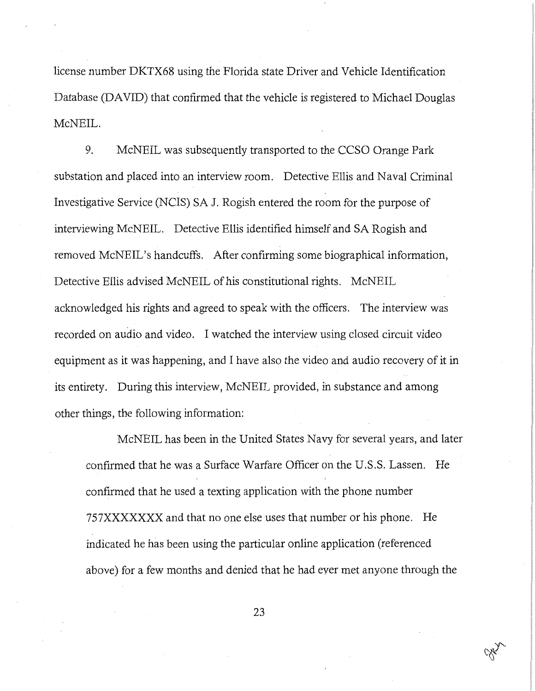license number DKTX68 using the Florida state Driver and Vehicle Identification Database (DAVID) that confirmed that the vehicle is registered to Michael Douglas McNEIL.

9. McNEIL was subsequently transported to the CCSO Orange Park substation and placed into an interview room. Detective Ellis and Naval Criminal Investigative Service (NCIS) SA J. Rogish entered the room for the purpose of interviewing McNEIL. Detective Ellis identified himself and SA Rogish and removed McNEIL's handcuffs. After confirming some biographical information, Detective Ellis advised McNEIL of his constitutional rights. McNEIL acknowledged his rights and agreed to speak with the officers. The interview was recorded on audio and video. I watched the interview using closed circuit video equipment as it was happening, and I have also the video and audio recovery of it in its entirety. During this interview, McNEIL provided, in substance and among other things, the following information:

McNEIL has been in the United States Navy for several years, and later confirmed that he was a Surface Warfare Officer on the U.S.S. Lassen. He confirmed that he used a texting application with the phone number 757XXXXXXX and that no one else uses that number or his phone. He indicated he has been using the particular online application (referenced above) for a few months and denied that he had ever met anyone through the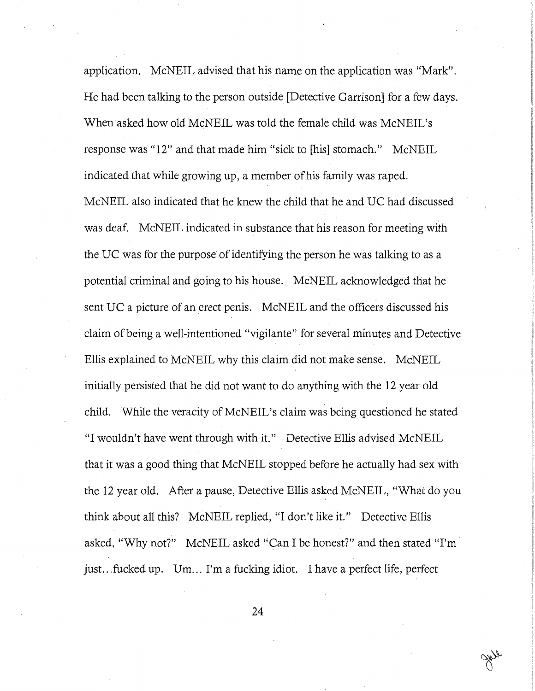application. McNEIL advised that his name on the application was "Mark". He had been talking to the person outside [Detective Garrison] for a few days. When asked how old McNEIL was told the female child was McNEIL's response was "12" and that made him "sick to [his] stomach." McNEIL indicated that while growing up, a member of his family was raped. McNEIL also indicated that he lmew the child that he and UC had discussed was deaf. McNEIL indicated in substance that his reason for meeting with the UC was for the purpose of identifying the person he was talking to as a potential criminal and going to his house. McNEIL acknowledged that he sent UC a picture of an erect penis. McNEIL and the officers discussed his claim of being a well-intentioned "vigilante" for several minutes and Detective Ellis explained to McNEIL why this claim did not make sense. McNEIL initially persisted that he did not want to do anything with the 12 year old child. While the veracity of McNEIL's claim was being questioned he stated "I wouldn't have went through with it." Detective Ellis advised McNEIL that it was a good thing that McNEIL stopped before he actually had sex with the 12 year old. After a pause, Detective Ellis asked McNEIL, "What do you think about all this? McNEIL replied, "I don't like it." Detective Ellis asked, "Why not?" McNEIL asked "Can I be honest?" and then stated "I'm just... fucked up. Um... I'm a fucking idiot. I have a perfect life, perfect

24

Shrz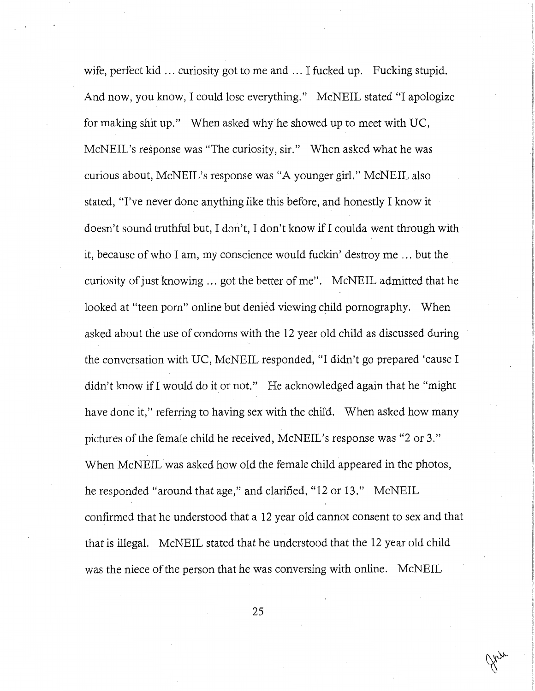wife, perfect kid ... curiosity got to me and ... I fucked up. Fucking stupid. And now, you know, I could lose everything." McNEIL stated "I apologize for making shit up." When asked why he showed up to meet with UC, McNEIL's response was "The curiosity, sir." When asked what he was curious about, McNEIL's response was "A younger girl." McNEIL also stated, "I've never done anything like this before, and honestly I know it doesn't sound truthful but, I don't, I don't know if I coulda went through with it, because of who I am, my conscience would fuckin' destroy me ... but the curiosity of just knowing ... got the better of me". McNEIL admitted that he looked at "teen porn" online but denied viewing child pornography. When asked about the use of condoms with the 12 year old child as discussed during the conversation with UC, McNEIL responded, "I didn't go prepared 'cause I didn't know if I would do it or not." He acknowledged again that he "might have done it," referring to having sex with the child. When asked how many pictures of the female child he received, McNEIL's response was "2 or 3." When McNEIL was asked how old the female child appeared in the photos, he responded "around that age," and clarified, "12 or 13." McNEIL confirmed that he understood that a 12 year old cannot consent to sex and that that is illegal. McNEIL stated that he understood that the 12 year old child was the niece of the person that he was conversing with online. McNEIL

25

Chyr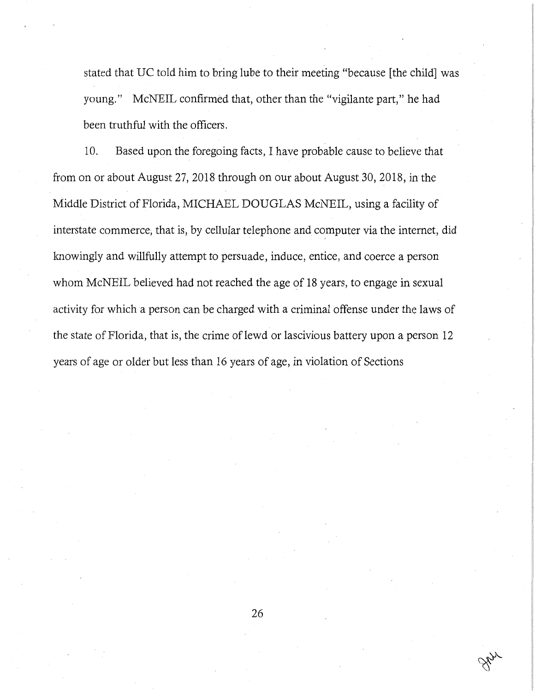stated that UC told him to bring lube to their meeting "because [the child] was young." McNEIL confirmed that, other than the "vigilante part," he had been truthful with the officers.

10. Based upon the foregoing facts, I have probable cause to believe that from on or about August 27, 2018 through on our about August 30, 2018, in the Middle District of Florida, MICHAEL DOUGLAS McNEIL, using a facility of interstate commerce, that is, by cellular telephone and computer via the internet, did knowingly and willfully attempt to persuade, induce, entice, and coerce a person whom McNEIL believed had not reached the age of 18 years, to engage in sexual activity for which a person can be charged with a criminal offense under the laws of the state of Florida, that is, the crime of lewd or lascivious battery upon a person 12 years of age or older but less than 16 years of age, in violation of Sections

26

Ston